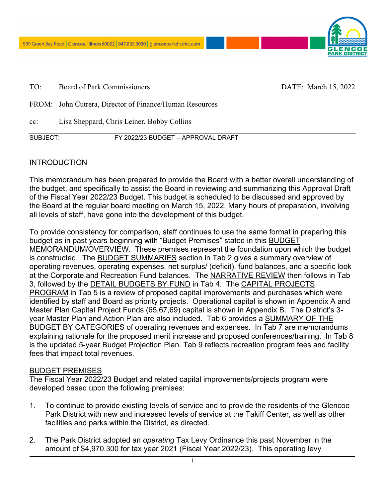

TO: Board of Park Commissioners DATE: March 15, 2022

- FROM: John Cutrera, Director of Finance/Human Resources
- cc: Lisa Sheppard, Chris Leiner, Bobby Collins

| SUBJECT: | FY 2022/23 BUDGET - APPROVAL DRAFT |
|----------|------------------------------------|
|          |                                    |

#### **INTRODUCTION**

This memorandum has been prepared to provide the Board with a better overall understanding of the budget, and specifically to assist the Board in reviewing and summarizing this Approval Draft of the Fiscal Year 2022/23 Budget. This budget is scheduled to be discussed and approved by the Board at the regular board meeting on March 15, 2022. Many hours of preparation, involving all levels of staff, have gone into the development of this budget.

To provide consistency for comparison, staff continues to use the same format in preparing this budget as in past years beginning with "Budget Premises" stated in this BUDGET MEMORANDUM/OVERVIEW. These premises represent the foundation upon which the budget is constructed. The BUDGET SUMMARIES section in Tab 2 gives a summary overview of operating revenues, operating expenses, net surplus/ (deficit), fund balances, and a specific look at the Corporate and Recreation Fund balances. The NARRATIVE REVIEW then follows in Tab 3, followed by the **DETAIL BUDGETS BY FUND** in Tab 4. The **CAPITAL PROJECTS** PROGRAM in Tab 5 is a review of proposed capital improvements and purchases which were identified by staff and Board as priority projects. Operational capital is shown in Appendix A and Master Plan Capital Project Funds (65,67,69) capital is shown in Appendix B. The District's 3 year Master Plan and Action Plan are also included. Tab 6 provides a SUMMARY OF THE BUDGET BY CATEGORIES of operating revenues and expenses. In Tab 7 are memorandums explaining rationale for the proposed merit increase and proposed conferences/training. In Tab 8 is the updated 5-year Budget Projection Plan. Tab 9 reflects recreation program fees and facility fees that impact total revenues.

#### BUDGET PREMISES

The Fiscal Year 2022/23 Budget and related capital improvements/projects program were developed based upon the following premises:

- 1. To continue to provide existing levels of service and to provide the residents of the Glencoe Park District with new and increased levels of service at the Takiff Center, as well as other facilities and parks within the District, as directed.
- 2. The Park District adopted an *operating* Tax Levy Ordinance this past November in the amount of \$4,970,300 for tax year 2021 (Fiscal Year 2022/23). This operating levy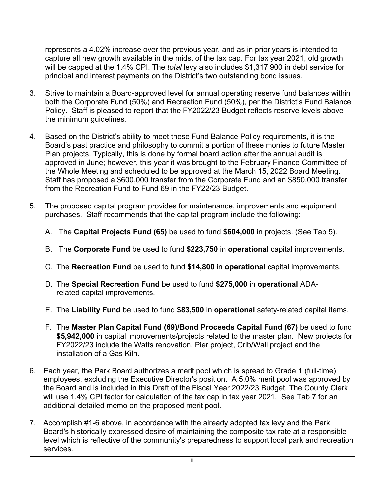represents a 4.02% increase over the previous year, and as in prior years is intended to capture all new growth available in the midst of the tax cap. For tax year 2021, old growth will be capped at the 1.4% CPI. The *total* levy also includes \$1,317,900 in debt service for principal and interest payments on the District's two outstanding bond issues.

- 3. Strive to maintain a Board-approved level for annual operating reserve fund balances within both the Corporate Fund (50%) and Recreation Fund (50%), per the District's Fund Balance Policy. Staff is pleased to report that the FY2022/23 Budget reflects reserve levels above the minimum guidelines*.*
- 4. Based on the District's ability to meet these Fund Balance Policy requirements, it is the Board's past practice and philosophy to commit a portion of these monies to future Master Plan projects. Typically, this is done by formal board action after the annual audit is approved in June; however, this year it was brought to the February Finance Committee of the Whole Meeting and scheduled to be approved at the March 15, 2022 Board Meeting. Staff has proposed a \$600,000 transfer from the Corporate Fund and an \$850,000 transfer from the Recreation Fund to Fund 69 in the FY22/23 Budget.
- 5. The proposed capital program provides for maintenance, improvements and equipment purchases. Staff recommends that the capital program include the following:
	- A. The **Capital Projects Fund (65)** be used to fund **\$604,000** in projects. (See Tab 5).
	- B. The **Corporate Fund** be used to fund **\$223,750** in **operational** capital improvements.
	- C. The **Recreation Fund** be used to fund **\$14,800** in **operational** capital improvements.
	- D. The **Special Recreation Fund** be used to fund **\$275,000** in **operational** ADArelated capital improvements.
	- E. The **Liability Fund** be used to fund **\$83,500** in **operational** safety-related capital items.
	- F. The **Master Plan Capital Fund (69)/Bond Proceeds Capital Fund (67)** be used to fund **\$5,942,000** in capital improvements/projects related to the master plan. New projects for FY2022/23 include the Watts renovation, Pier project, Crib/Wall project and the installation of a Gas Kiln.
- 6. Each year, the Park Board authorizes a merit pool which is spread to Grade 1 (full-time) employees, excluding the Executive Director's position. A 5.0% merit pool was approved by the Board and is included in this Draft of the Fiscal Year 2022/23 Budget. The County Clerk will use 1.4% CPI factor for calculation of the tax cap in tax year 2021. See Tab 7 for an additional detailed memo on the proposed merit pool.
- 7. Accomplish #1-6 above, in accordance with the already adopted tax levy and the Park Board's historically expressed desire of maintaining the composite tax rate at a responsible level which is reflective of the community's preparedness to support local park and recreation services.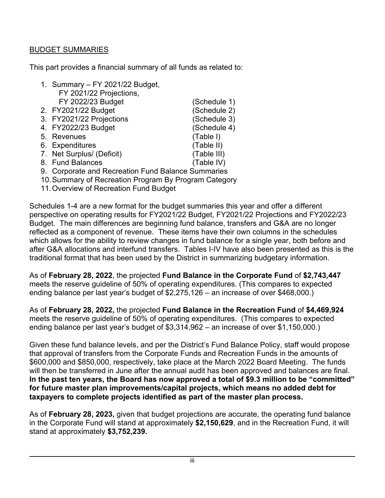# BUDGET SUMMARIES

This part provides a financial summary of all funds as related to:

- 1. Summary FY 2021/22 Budget, FY 2021/22 Projections, FY 2022/23 Budget (Schedule 1)
- 2. FY2021/22 Budget (Schedule 2)
- 3. FY2021/22 Projections (Schedule 3)
- 4. FY2022/23 Budget (Schedule 4)
- 5. Revenues (Table I)
- 6. Expenditures (Table II)
- 7. Net Surplus/ (Deficit) (Table III)
- 8. Fund Balances (Table IV)
- 9. Corporate and Recreation Fund Balance Summaries
- 10. Summary of Recreation Program By Program Category
- 11. Overview of Recreation Fund Budget

Schedules 1-4 are a new format for the budget summaries this year and offer a different perspective on operating results for FY2021/22 Budget, FY2021/22 Projections and FY2022/23 Budget. The main differences are beginning fund balance, transfers and G&A are no longer reflected as a component of revenue. These items have their own columns in the schedules which allows for the ability to review changes in fund balance for a single year, both before and after G&A allocations and interfund transfers. Tables I-IV have also been presented as this is the traditional format that has been used by the District in summarizing budgetary information.

As of **February 28, 2022**, the projected **Fund Balance in the Corporate Fund** of **\$2,743,447** meets the reserve guideline of 50% of operating expenditures. (This compares to expected ending balance per last year's budget of \$2,275,126 – an increase of over \$468,000.)

As of **February 28, 2022,** the projected **Fund Balance in the Recreation Fund** of **\$4,469,924**  meets the reserve guideline of 50% of operating expenditures. (This compares to expected ending balance per last year's budget of \$3,314,962 – an increase of over \$1,150,000.)

Given these fund balance levels, and per the District's Fund Balance Policy, staff would propose that approval of transfers from the Corporate Funds and Recreation Funds in the amounts of \$600,000 and \$850,000, respectively, take place at the March 2022 Board Meeting. The funds will then be transferred in June after the annual audit has been approved and balances are final. **In the past ten years, the Board has now approved a total of \$9.3 million to be "committed" for future master plan improvements/capital projects, which means no added debt for taxpayers to complete projects identified as part of the master plan process.** 

As of **February 28, 2023,** given that budget projections are accurate, the operating fund balance in the Corporate Fund will stand at approximately **\$2,150,629**, and in the Recreation Fund, it will stand at approximately **\$3,752,239.**